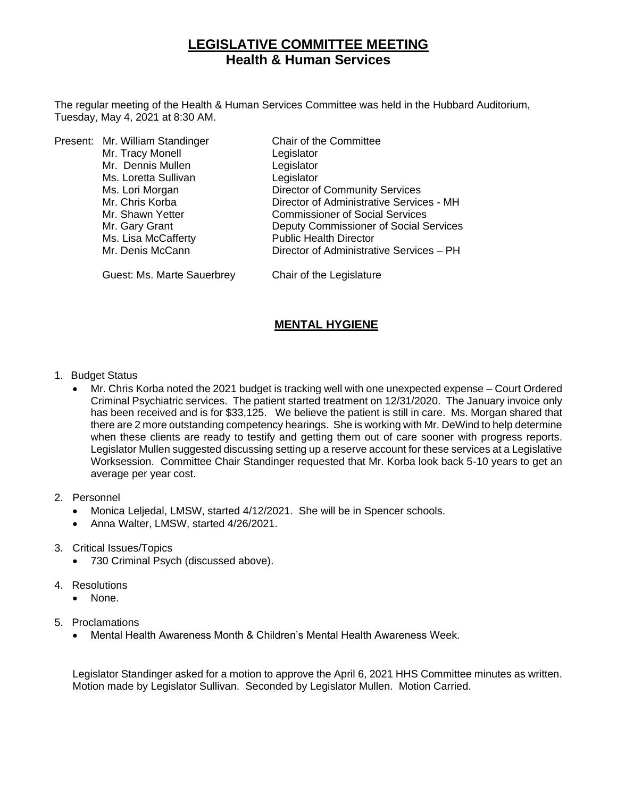# **LEGISLATIVE COMMITTEE MEETING Health & Human Services**

The regular meeting of the Health & Human Services Committee was held in the Hubbard Auditorium, Tuesday, May 4, 2021 at 8:30 AM.

|  | Present: Mr. William Standinger | Chair of the Committee                   |
|--|---------------------------------|------------------------------------------|
|  | Mr. Tracy Monell                | Legislator                               |
|  | Mr. Dennis Mullen               | Legislator                               |
|  | Ms. Loretta Sullivan            | Legislator                               |
|  | Ms. Lori Morgan                 | <b>Director of Community Services</b>    |
|  | Mr. Chris Korba                 | Director of Administrative Services - MH |
|  | Mr. Shawn Yetter                | <b>Commissioner of Social Services</b>   |
|  | Mr. Gary Grant                  | Deputy Commissioner of Social Services   |
|  | Ms. Lisa McCafferty             | <b>Public Health Director</b>            |
|  | Mr. Denis McCann                | Director of Administrative Services - PH |
|  |                                 |                                          |

Guest: Ms. Marte Sauerbrey Chair of the Legislature

## **MENTAL HYGIENE**

- 1. Budget Status
	- Mr. Chris Korba noted the 2021 budget is tracking well with one unexpected expense Court Ordered Criminal Psychiatric services. The patient started treatment on 12/31/2020. The January invoice only has been received and is for \$33,125. We believe the patient is still in care. Ms. Morgan shared that there are 2 more outstanding competency hearings. She is working with Mr. DeWind to help determine when these clients are ready to testify and getting them out of care sooner with progress reports. Legislator Mullen suggested discussing setting up a reserve account for these services at a Legislative Worksession. Committee Chair Standinger requested that Mr. Korba look back 5-10 years to get an average per year cost.
- 2. Personnel
	- Monica Leljedal, LMSW, started 4/12/2021. She will be in Spencer schools.
	- Anna Walter, LMSW, started 4/26/2021.
- 3. Critical Issues/Topics
	- 730 Criminal Psych (discussed above).
- 4. Resolutions
	- None.
- 5. Proclamations
	- Mental Health Awareness Month & Children's Mental Health Awareness Week.

Legislator Standinger asked for a motion to approve the April 6, 2021 HHS Committee minutes as written. Motion made by Legislator Sullivan. Seconded by Legislator Mullen. Motion Carried.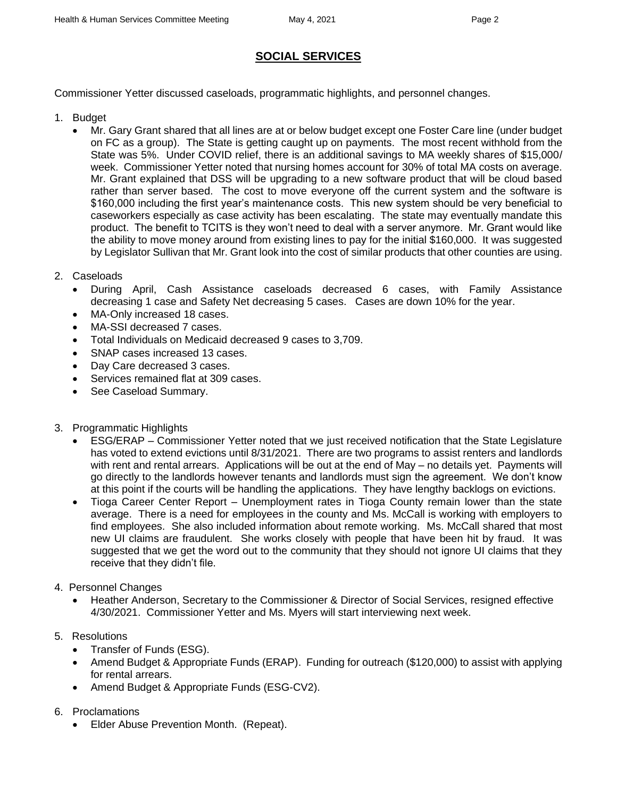# **SOCIAL SERVICES**

Commissioner Yetter discussed caseloads, programmatic highlights, and personnel changes.

- 1. Budget
	- Mr. Gary Grant shared that all lines are at or below budget except one Foster Care line (under budget on FC as a group). The State is getting caught up on payments. The most recent withhold from the State was 5%. Under COVID relief, there is an additional savings to MA weekly shares of \$15,000/ week. Commissioner Yetter noted that nursing homes account for 30% of total MA costs on average. Mr. Grant explained that DSS will be upgrading to a new software product that will be cloud based rather than server based. The cost to move everyone off the current system and the software is \$160,000 including the first year's maintenance costs. This new system should be very beneficial to caseworkers especially as case activity has been escalating. The state may eventually mandate this product. The benefit to TCITS is they won't need to deal with a server anymore. Mr. Grant would like the ability to move money around from existing lines to pay for the initial \$160,000. It was suggested by Legislator Sullivan that Mr. Grant look into the cost of similar products that other counties are using.
- 2. Caseloads
	- During April, Cash Assistance caseloads decreased 6 cases, with Family Assistance decreasing 1 case and Safety Net decreasing 5 cases. Cases are down 10% for the year.
	- MA-Only increased 18 cases.
	- MA-SSI decreased 7 cases.
	- Total Individuals on Medicaid decreased 9 cases to 3,709.
	- SNAP cases increased 13 cases.
	- Day Care decreased 3 cases.
	- Services remained flat at 309 cases.
	- See Caseload Summary.
- 3. Programmatic Highlights
	- ESG/ERAP Commissioner Yetter noted that we just received notification that the State Legislature has voted to extend evictions until 8/31/2021. There are two programs to assist renters and landlords with rent and rental arrears. Applications will be out at the end of May – no details yet. Payments will go directly to the landlords however tenants and landlords must sign the agreement. We don't know at this point if the courts will be handling the applications. They have lengthy backlogs on evictions.
	- Tioga Career Center Report Unemployment rates in Tioga County remain lower than the state average. There is a need for employees in the county and Ms. McCall is working with employers to find employees. She also included information about remote working. Ms. McCall shared that most new UI claims are fraudulent. She works closely with people that have been hit by fraud. It was suggested that we get the word out to the community that they should not ignore UI claims that they receive that they didn't file.
- 4. Personnel Changes
	- Heather Anderson, Secretary to the Commissioner & Director of Social Services, resigned effective 4/30/2021. Commissioner Yetter and Ms. Myers will start interviewing next week.
- 5. Resolutions
	- Transfer of Funds (ESG).
	- Amend Budget & Appropriate Funds (ERAP). Funding for outreach (\$120,000) to assist with applying for rental arrears.
	- Amend Budget & Appropriate Funds (ESG-CV2).
- 6. Proclamations
	- Elder Abuse Prevention Month. (Repeat).